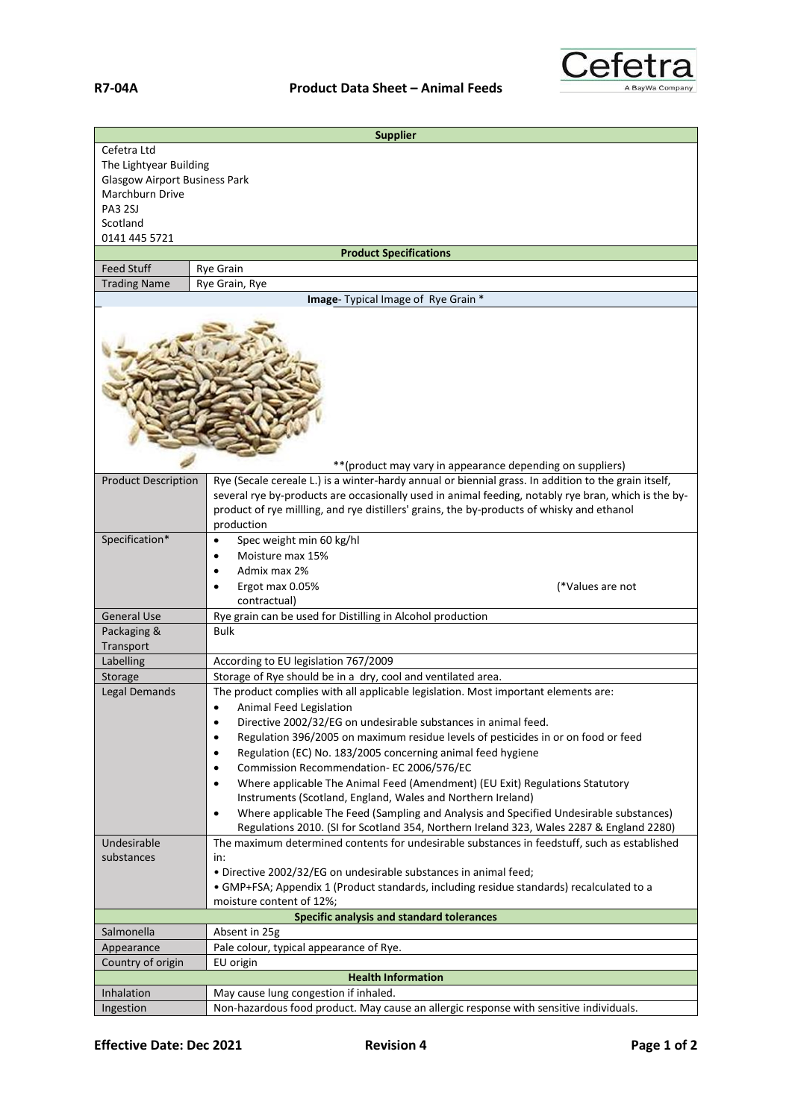

| <b>Supplier</b>                                                              |                                                                                                                                                                                                                 |  |
|------------------------------------------------------------------------------|-----------------------------------------------------------------------------------------------------------------------------------------------------------------------------------------------------------------|--|
| Cefetra Ltd                                                                  |                                                                                                                                                                                                                 |  |
| The Lightyear Building                                                       |                                                                                                                                                                                                                 |  |
| <b>Glasgow Airport Business Park</b>                                         |                                                                                                                                                                                                                 |  |
| Marchburn Drive                                                              |                                                                                                                                                                                                                 |  |
| PA3 2SJ                                                                      |                                                                                                                                                                                                                 |  |
| Scotland                                                                     |                                                                                                                                                                                                                 |  |
| 0141 445 5721                                                                |                                                                                                                                                                                                                 |  |
|                                                                              | <b>Product Specifications</b>                                                                                                                                                                                   |  |
| <b>Feed Stuff</b>                                                            | <b>Rye Grain</b>                                                                                                                                                                                                |  |
| Rye Grain, Rye<br><b>Trading Name</b><br>Image- Typical Image of Rye Grain * |                                                                                                                                                                                                                 |  |
|                                                                              |                                                                                                                                                                                                                 |  |
|                                                                              | ** (product may vary in appearance depending on suppliers)<br>Rye (Secale cereale L.) is a winter-hardy annual or biennial grass. In addition to the grain itself,                                              |  |
| <b>Product Description</b>                                                   | several rye by-products are occasionally used in animal feeding, notably rye bran, which is the by-<br>product of rye millling, and rye distillers' grains, the by-products of whisky and ethanol<br>production |  |
| Specification*                                                               | Spec weight min 60 kg/hl<br>$\bullet$                                                                                                                                                                           |  |
|                                                                              | Moisture max 15%<br>$\bullet$                                                                                                                                                                                   |  |
|                                                                              | Admix max 2%                                                                                                                                                                                                    |  |
|                                                                              | Ergot max 0.05%<br>(*Values are not                                                                                                                                                                             |  |
|                                                                              | contractual)                                                                                                                                                                                                    |  |
| <b>General Use</b>                                                           | Rye grain can be used for Distilling in Alcohol production                                                                                                                                                      |  |
| Packaging &                                                                  | <b>Bulk</b>                                                                                                                                                                                                     |  |
| Transport                                                                    |                                                                                                                                                                                                                 |  |
| Labelling                                                                    | According to EU legislation 767/2009                                                                                                                                                                            |  |
| Storage                                                                      | Storage of Rye should be in a dry, cool and ventilated area.                                                                                                                                                    |  |
| Legal Demands                                                                | The product complies with all applicable legislation. Most important elements are:                                                                                                                              |  |
|                                                                              | Animal Feed Legislation                                                                                                                                                                                         |  |
|                                                                              | Directive 2002/32/EG on undesirable substances in animal feed.<br>٠                                                                                                                                             |  |
|                                                                              | Regulation 396/2005 on maximum residue levels of pesticides in or on food or feed<br>$\bullet$                                                                                                                  |  |
|                                                                              | Regulation (EC) No. 183/2005 concerning animal feed hygiene<br>٠                                                                                                                                                |  |
|                                                                              | Commission Recommendation- EC 2006/576/EC<br>٠                                                                                                                                                                  |  |
|                                                                              | Where applicable The Animal Feed (Amendment) (EU Exit) Regulations Statutory<br>٠                                                                                                                               |  |
|                                                                              | Instruments (Scotland, England, Wales and Northern Ireland)                                                                                                                                                     |  |
|                                                                              | Where applicable The Feed (Sampling and Analysis and Specified Undesirable substances)<br>$\bullet$<br>Regulations 2010. (SI for Scotland 354, Northern Ireland 323, Wales 2287 & England 2280)                 |  |
| Undesirable                                                                  | The maximum determined contents for undesirable substances in feedstuff, such as established                                                                                                                    |  |
| substances                                                                   | in:                                                                                                                                                                                                             |  |
|                                                                              | · Directive 2002/32/EG on undesirable substances in animal feed;                                                                                                                                                |  |
|                                                                              | • GMP+FSA; Appendix 1 (Product standards, including residue standards) recalculated to a                                                                                                                        |  |
|                                                                              | moisture content of 12%;                                                                                                                                                                                        |  |
|                                                                              | Specific analysis and standard tolerances                                                                                                                                                                       |  |
| Salmonella                                                                   | Absent in 25g                                                                                                                                                                                                   |  |
| Appearance                                                                   | Pale colour, typical appearance of Rye.                                                                                                                                                                         |  |
| Country of origin<br>EU origin                                               |                                                                                                                                                                                                                 |  |
| Inhalation                                                                   | <b>Health Information</b><br>May cause lung congestion if inhaled.                                                                                                                                              |  |
| Ingestion                                                                    | Non-hazardous food product. May cause an allergic response with sensitive individuals.                                                                                                                          |  |
|                                                                              |                                                                                                                                                                                                                 |  |